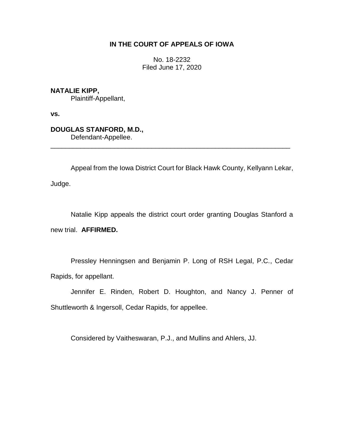# **IN THE COURT OF APPEALS OF IOWA**

No. 18-2232 Filed June 17, 2020

**NATALIE KIPP,**

Plaintiff-Appellant,

**vs.**

**DOUGLAS STANFORD, M.D.,** Defendant-Appellee.

Appeal from the Iowa District Court for Black Hawk County, Kellyann Lekar,

\_\_\_\_\_\_\_\_\_\_\_\_\_\_\_\_\_\_\_\_\_\_\_\_\_\_\_\_\_\_\_\_\_\_\_\_\_\_\_\_\_\_\_\_\_\_\_\_\_\_\_\_\_\_\_\_\_\_\_\_\_\_\_\_

Judge.

Natalie Kipp appeals the district court order granting Douglas Stanford a new trial. **AFFIRMED.**

Pressley Henningsen and Benjamin P. Long of RSH Legal, P.C., Cedar Rapids, for appellant.

Jennifer E. Rinden, Robert D. Houghton, and Nancy J. Penner of Shuttleworth & Ingersoll, Cedar Rapids, for appellee.

Considered by Vaitheswaran, P.J., and Mullins and Ahlers, JJ.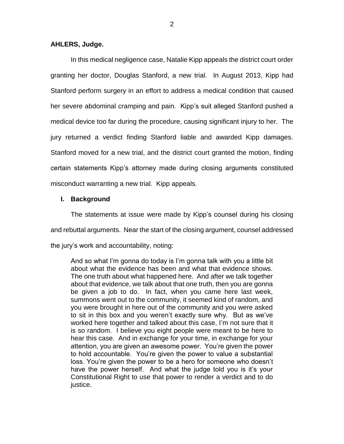## **AHLERS, Judge.**

In this medical negligence case, Natalie Kipp appeals the district court order granting her doctor, Douglas Stanford, a new trial. In August 2013, Kipp had Stanford perform surgery in an effort to address a medical condition that caused her severe abdominal cramping and pain. Kipp's suit alleged Stanford pushed a medical device too far during the procedure, causing significant injury to her. The jury returned a verdict finding Stanford liable and awarded Kipp damages. Stanford moved for a new trial, and the district court granted the motion, finding certain statements Kipp's attorney made during closing arguments constituted misconduct warranting a new trial. Kipp appeals.

## **I. Background**

The statements at issue were made by Kipp's counsel during his closing and rebuttal arguments. Near the start of the closing argument, counsel addressed the jury's work and accountability, noting:

And so what I'm gonna do today is I'm gonna talk with you a little bit about what the evidence has been and what that evidence shows. The one truth about what happened here. And after we talk together about that evidence, we talk about that one truth, then you are gonna be given a job to do. In fact, when you came here last week, summons went out to the community, it seemed kind of random, and you were brought in here out of the community and you were asked to sit in this box and you weren't exactly sure why. But as we've worked here together and talked about this case, I'm not sure that it is so random. I believe you eight people were meant to be here to hear this case. And in exchange for your time, in exchange for your attention, you are given an awesome power. You're given the power to hold accountable. You're given the power to value a substantial loss. You're given the power to be a hero for someone who doesn't have the power herself. And what the judge told you is it's your Constitutional Right to use that power to render a verdict and to do justice.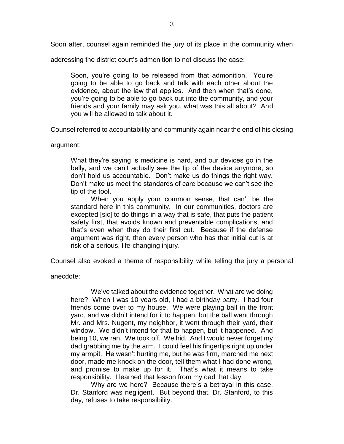Soon after, counsel again reminded the jury of its place in the community when

addressing the district court's admonition to not discuss the case:

Soon, you're going to be released from that admonition. You're going to be able to go back and talk with each other about the evidence, about the law that applies. And then when that's done, you're going to be able to go back out into the community, and your friends and your family may ask you, what was this all about? And you will be allowed to talk about it.

Counsel referred to accountability and community again near the end of his closing

argument:

What they're saying is medicine is hard, and our devices go in the belly, and we can't actually see the tip of the device anymore, so don't hold us accountable. Don't make us do things the right way. Don't make us meet the standards of care because we can't see the tip of the tool.

When you apply your common sense, that can't be the standard here in this community. In our communities, doctors are excepted [sic] to do things in a way that is safe, that puts the patient safety first, that avoids known and preventable complications, and that's even when they do their first cut. Because if the defense argument was right, then every person who has that initial cut is at risk of a serious, life-changing injury.

Counsel also evoked a theme of responsibility while telling the jury a personal

anecdote:

We've talked about the evidence together. What are we doing here? When I was 10 years old, I had a birthday party. I had four friends come over to my house. We were playing ball in the front yard, and we didn't intend for it to happen, but the ball went through Mr. and Mrs. Nugent, my neighbor, it went through their yard, their window. We didn't intend for that to happen, but it happened. And being 10, we ran. We took off. We hid. And I would never forget my dad grabbing me by the arm. I could feel his fingertips right up under my armpit. He wasn't hurting me, but he was firm, marched me next door, made me knock on the door, tell them what I had done wrong, and promise to make up for it. That's what it means to take responsibility. I learned that lesson from my dad that day.

Why are we here? Because there's a betrayal in this case. Dr. Stanford was negligent. But beyond that, Dr. Stanford, to this day, refuses to take responsibility.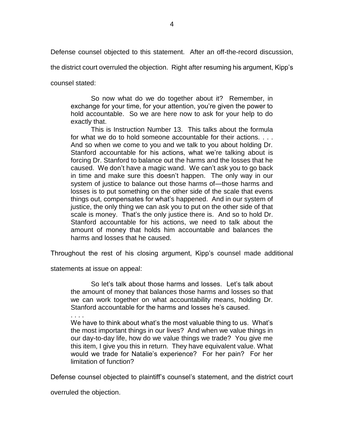Defense counsel objected to this statement. After an off-the-record discussion,

the district court overruled the objection. Right after resuming his argument, Kipp's

counsel stated:

So now what do we do together about it? Remember, in exchange for your time, for your attention, you're given the power to hold accountable. So we are here now to ask for your help to do exactly that.

This is Instruction Number 13. This talks about the formula for what we do to hold someone accountable for their actions. . . . And so when we come to you and we talk to you about holding Dr. Stanford accountable for his actions, what we're talking about is forcing Dr. Stanford to balance out the harms and the losses that he caused. We don't have a magic wand. We can't ask you to go back in time and make sure this doesn't happen. The only way in our system of justice to balance out those harms of—those harms and losses is to put something on the other side of the scale that evens things out, compensates for what's happened. And in our system of justice, the only thing we can ask you to put on the other side of that scale is money. That's the only justice there is. And so to hold Dr. Stanford accountable for his actions, we need to talk about the amount of money that holds him accountable and balances the harms and losses that he caused.

Throughout the rest of his closing argument, Kipp's counsel made additional

statements at issue on appeal:

So let's talk about those harms and losses. Let's talk about the amount of money that balances those harms and losses so that we can work together on what accountability means, holding Dr. Stanford accountable for the harms and losses he's caused.

. . . .

We have to think about what's the most valuable thing to us. What's the most important things in our lives? And when we value things in our day-to-day life, how do we value things we trade? You give me this item, I give you this in return. They have equivalent value. What would we trade for Natalie's experience? For her pain? For her limitation of function?

Defense counsel objected to plaintiff's counsel's statement, and the district court

overruled the objection.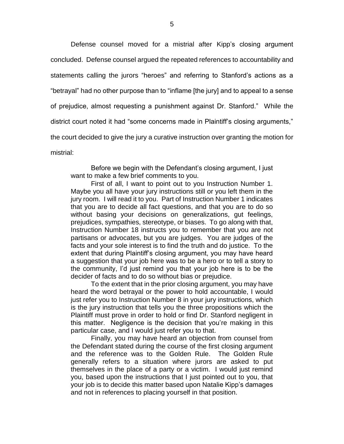Defense counsel moved for a mistrial after Kipp's closing argument concluded. Defense counsel argued the repeated references to accountability and statements calling the jurors "heroes" and referring to Stanford's actions as a "betrayal" had no other purpose than to "inflame [the jury] and to appeal to a sense of prejudice, almost requesting a punishment against Dr. Stanford." While the district court noted it had "some concerns made in Plaintiff's closing arguments," the court decided to give the jury a curative instruction over granting the motion for mistrial:

Before we begin with the Defendant's closing argument, I just want to make a few brief comments to you.

First of all, I want to point out to you Instruction Number 1. Maybe you all have your jury instructions still or you left them in the jury room. I will read it to you. Part of Instruction Number 1 indicates that you are to decide all fact questions, and that you are to do so without basing your decisions on generalizations, gut feelings, prejudices, sympathies, stereotype, or biases. To go along with that, Instruction Number 18 instructs you to remember that you are not partisans or advocates, but you are judges. You are judges of the facts and your sole interest is to find the truth and do justice. To the extent that during Plaintiff's closing argument, you may have heard a suggestion that your job here was to be a hero or to tell a story to the community, I'd just remind you that your job here is to be the decider of facts and to do so without bias or prejudice.

To the extent that in the prior closing argument, you may have heard the word betrayal or the power to hold accountable, I would just refer you to Instruction Number 8 in your jury instructions, which is the jury instruction that tells you the three propositions which the Plaintiff must prove in order to hold or find Dr. Stanford negligent in this matter. Negligence is the decision that you're making in this particular case, and I would just refer you to that.

Finally, you may have heard an objection from counsel from the Defendant stated during the course of the first closing argument and the reference was to the Golden Rule. The Golden Rule generally refers to a situation where jurors are asked to put themselves in the place of a party or a victim. I would just remind you, based upon the instructions that I just pointed out to you, that your job is to decide this matter based upon Natalie Kipp's damages and not in references to placing yourself in that position.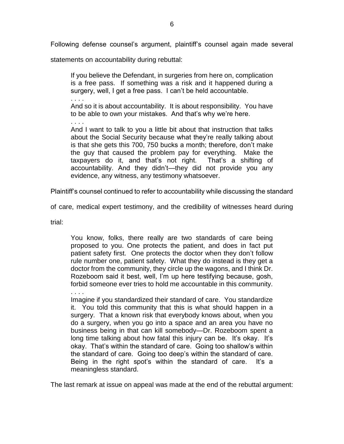Following defense counsel's argument, plaintiff's counsel again made several

statements on accountability during rebuttal:

If you believe the Defendant, in surgeries from here on, complication is a free pass. If something was a risk and it happened during a surgery, well, I get a free pass. I can't be held accountable.

. . . .

And so it is about accountability. It is about responsibility. You have to be able to own your mistakes. And that's why we're here.

. . . . And I want to talk to you a little bit about that instruction that talks about the Social Security because what they're really talking about is that she gets this 700, 750 bucks a month; therefore, don't make the guy that caused the problem pay for everything. Make the

taxpayers do it, and that's not right. That's a shifting of accountability. And they didn't—they did not provide you any evidence, any witness, any testimony whatsoever.

Plaintiff's counsel continued to refer to accountability while discussing the standard

of care, medical expert testimony, and the credibility of witnesses heard during

trial:

You know, folks, there really are two standards of care being proposed to you. One protects the patient, and does in fact put patient safety first. One protects the doctor when they don't follow rule number one, patient safety. What they do instead is they get a doctor from the community, they circle up the wagons, and I think Dr. Rozeboom said it best, well, I'm up here testifying because, gosh, forbid someone ever tries to hold me accountable in this community.

. . . . Imagine if you standardized their standard of care. You standardize it. You told this community that this is what should happen in a surgery. That a known risk that everybody knows about, when you do a surgery, when you go into a space and an area you have no business being in that can kill somebody—Dr. Rozeboom spent a long time talking about how fatal this injury can be. It's okay. It's okay. That's within the standard of care. Going too shallow's within the standard of care. Going too deep's within the standard of care. Being in the right spot's within the standard of care. It's a meaningless standard.

The last remark at issue on appeal was made at the end of the rebuttal argument: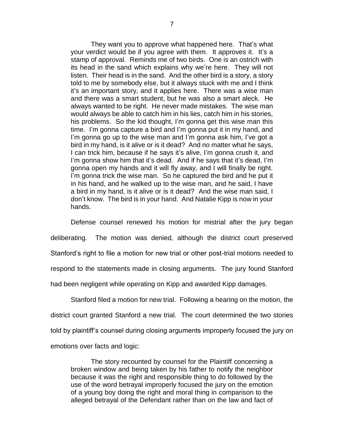They want you to approve what happened here. That's what your verdict would be if you agree with them. It approves it. It's a stamp of approval. Reminds me of two birds. One is an ostrich with its head in the sand which explains why we're here. They will not listen. Their head is in the sand. And the other bird is a story, a story told to me by somebody else, but it always stuck with me and I think it's an important story, and it applies here. There was a wise man and there was a smart student, but he was also a smart aleck. He always wanted to be right. He never made mistakes. The wise man would always be able to catch him in his lies, catch him in his stories, his problems. So the kid thought, I'm gonna get this wise man this time. I'm gonna capture a bird and I'm gonna put it in my hand, and I'm gonna go up to the wise man and I'm gonna ask him, I've got a bird in my hand, is it alive or is it dead? And no matter what he says, I can trick him, because if he says it's alive, I'm gonna crush it, and I'm gonna show him that it's dead. And if he says that it's dead, I'm gonna open my hands and it will fly away, and I will finally be right. I'm gonna trick the wise man. So he captured the bird and he put it in his hand, and he walked up to the wise man, and he said, I have a bird in my hand, is it alive or is it dead? And the wise man said, I don't know. The bird is in your hand. And Natalie Kipp is now in your hands.

Defense counsel renewed his motion for mistrial after the jury began deliberating. The motion was denied, although the district court preserved Stanford's right to file a motion for new trial or other post-trial motions needed to respond to the statements made in closing arguments. The jury found Stanford had been negligent while operating on Kipp and awarded Kipp damages.

Stanford filed a motion for new trial. Following a hearing on the motion, the district court granted Stanford a new trial. The court determined the two stories told by plaintiff's counsel during closing arguments improperly focused the jury on emotions over facts and logic:

The story recounted by counsel for the Plaintiff concerning a broken window and being taken by his father to notify the neighbor because it was the right and responsible thing to do followed by the use of the word betrayal improperly focused the jury on the emotion of a young boy doing the right and moral thing in comparison to the alleged betrayal of the Defendant rather than on the law and fact of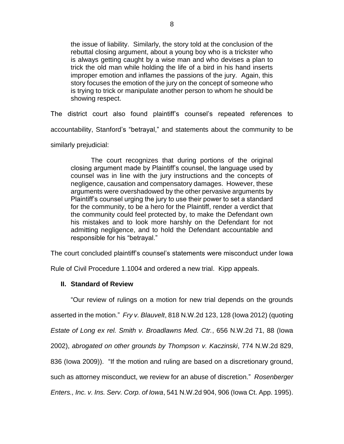the issue of liability. Similarly, the story told at the conclusion of the rebuttal closing argument, about a young boy who is a trickster who is always getting caught by a wise man and who devises a plan to trick the old man while holding the life of a bird in his hand inserts improper emotion and inflames the passions of the jury. Again, this story focuses the emotion of the jury on the concept of someone who is trying to trick or manipulate another person to whom he should be showing respect.

The district court also found plaintiff's counsel's repeated references to accountability, Stanford's "betrayal," and statements about the community to be similarly prejudicial:

The court recognizes that during portions of the original closing argument made by Plaintiff's counsel, the language used by counsel was in line with the jury instructions and the concepts of negligence, causation and compensatory damages. However, these arguments were overshadowed by the other pervasive arguments by Plaintiff's counsel urging the jury to use their power to set a standard for the community, to be a hero for the Plaintiff, render a verdict that the community could feel protected by, to make the Defendant own his mistakes and to look more harshly on the Defendant for not admitting negligence, and to hold the Defendant accountable and responsible for his "betrayal."

The court concluded plaintiff's counsel's statements were misconduct under Iowa

Rule of Civil Procedure 1.1004 and ordered a new trial. Kipp appeals.

# **II. Standard of Review**

"Our review of rulings on a motion for new trial depends on the grounds

asserted in the motion." *Fry v. Blauvelt*, 818 N.W.2d 123, 128 (Iowa 2012) (quoting

*Estate of Long ex rel. Smith v. Broadlawns Med. Ctr.*, 656 N.W.2d 71, 88 (Iowa

2002), *abrogated on other grounds by Thompson v. Kaczinski*, 774 N.W.2d 829,

836 (Iowa 2009)). "If the motion and ruling are based on a discretionary ground,

such as attorney misconduct, we review for an abuse of discretion." *Rosenberger* 

*Enters., Inc. v. Ins. Serv. Corp. of Iowa*, 541 N.W.2d 904, 906 (Iowa Ct. App. 1995).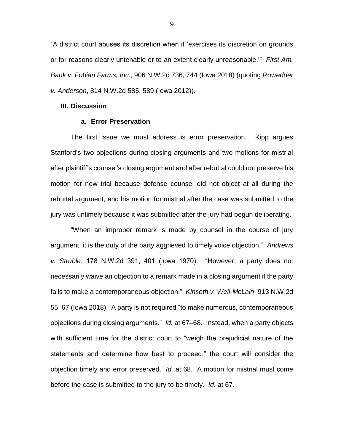"A district court abuses its discretion when it 'exercises its discretion on grounds or for reasons clearly untenable or to an extent clearly unreasonable.'" *First Am. Bank v. Fobian Farms, Inc.*, 906 N.W.2d 736, 744 (Iowa 2018) (quoting *Rowedder v. Anderson*, 814 N.W.2d 585, 589 (Iowa 2012)).

### **III. Discussion**

#### **a. Error Preservation**

The first issue we must address is error preservation. Kipp argues Stanford's two objections during closing arguments and two motions for mistrial after plaintiff's counsel's closing argument and after rebuttal could not preserve his motion for new trial because defense counsel did not object at all during the rebuttal argument, and his motion for mistrial after the case was submitted to the jury was untimely because it was submitted after the jury had begun deliberating.

"When an improper remark is made by counsel in the course of jury argument, it is the duty of the party aggrieved to timely voice objection." *Andrews v. Struble*, 178 N.W.2d 391, 401 (Iowa 1970). "However, a party does not necessarily waive an objection to a remark made in a closing argument if the party fails to make a contemporaneous objection." *Kinseth v. Weil-McLain*, 913 N.W.2d 55, 67 (Iowa 2018). A party is not required "to make numerous, contemporaneous objections during closing arguments." *Id.* at 67–68. Instead, when a party objects with sufficient time for the district court to "weigh the prejudicial nature of the statements and determine how best to proceed," the court will consider the objection timely and error preserved. *Id.* at 68. A motion for mistrial must come before the case is submitted to the jury to be timely. *Id.* at 67.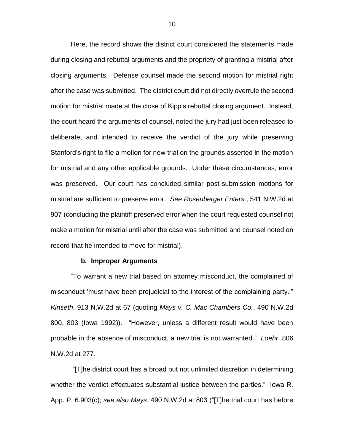Here, the record shows the district court considered the statements made during closing and rebuttal arguments and the propriety of granting a mistrial after closing arguments. Defense counsel made the second motion for mistrial right after the case was submitted. The district court did not directly overrule the second motion for mistrial made at the close of Kipp's rebuttal closing argument. Instead, the court heard the arguments of counsel, noted the jury had just been released to deliberate, and intended to receive the verdict of the jury while preserving Stanford's right to file a motion for new trial on the grounds asserted in the motion for mistrial and any other applicable grounds. Under these circumstances, error was preserved. Our court has concluded similar post-submission motions for mistrial are sufficient to preserve error. *See Rosenberger Enters.*, 541 N.W.2d at 907 (concluding the plaintiff preserved error when the court requested counsel not make a motion for mistrial until after the case was submitted and counsel noted on record that he intended to move for mistrial).

#### **b. Improper Arguments**

"To warrant a new trial based on attorney misconduct, the complained of misconduct 'must have been prejudicial to the interest of the complaining party.'" *Kinseth*, 913 N.W.2d at 67 (quoting *Mays v. C. Mac Chambers Co.*, 490 N.W.2d 800, 803 (Iowa 1992)). "However, unless a different result would have been probable in the absence of misconduct, a new trial is not warranted." *Loehr*, 806 N.W.2d at 277.

"[T]he district court has a broad but not unlimited discretion in determining whether the verdict effectuates substantial justice between the parties." Iowa R. App. P. 6.903(c); *see also Mays*, 490 N.W.2d at 803 ("[T]he trial court has before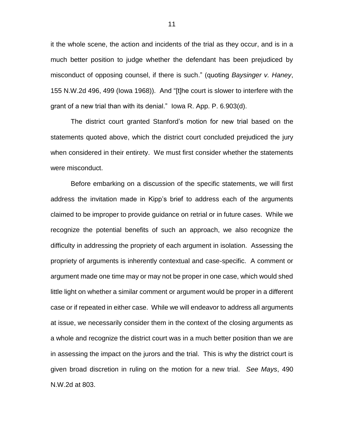it the whole scene, the action and incidents of the trial as they occur, and is in a much better position to judge whether the defendant has been prejudiced by misconduct of opposing counsel, if there is such." (quoting *Baysinger v. Haney*, 155 N.W.2d 496, 499 (Iowa 1968)). And "[t]he court is slower to interfere with the grant of a new trial than with its denial." Iowa R. App. P. 6.903(d).

The district court granted Stanford's motion for new trial based on the statements quoted above, which the district court concluded prejudiced the jury when considered in their entirety. We must first consider whether the statements were misconduct.

Before embarking on a discussion of the specific statements, we will first address the invitation made in Kipp's brief to address each of the arguments claimed to be improper to provide guidance on retrial or in future cases. While we recognize the potential benefits of such an approach, we also recognize the difficulty in addressing the propriety of each argument in isolation. Assessing the propriety of arguments is inherently contextual and case-specific. A comment or argument made one time may or may not be proper in one case, which would shed little light on whether a similar comment or argument would be proper in a different case or if repeated in either case. While we will endeavor to address all arguments at issue, we necessarily consider them in the context of the closing arguments as a whole and recognize the district court was in a much better position than we are in assessing the impact on the jurors and the trial. This is why the district court is given broad discretion in ruling on the motion for a new trial. *See Mays*, 490 N.W.2d at 803.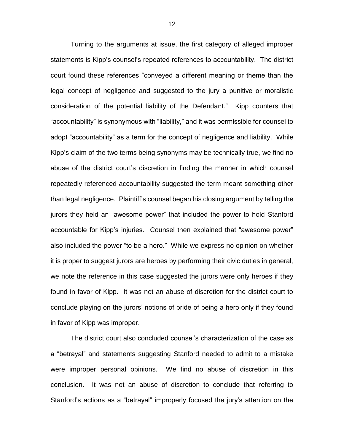Turning to the arguments at issue, the first category of alleged improper statements is Kipp's counsel's repeated references to accountability. The district court found these references "conveyed a different meaning or theme than the legal concept of negligence and suggested to the jury a punitive or moralistic consideration of the potential liability of the Defendant." Kipp counters that "accountability" is synonymous with "liability," and it was permissible for counsel to adopt "accountability" as a term for the concept of negligence and liability. While Kipp's claim of the two terms being synonyms may be technically true, we find no abuse of the district court's discretion in finding the manner in which counsel repeatedly referenced accountability suggested the term meant something other than legal negligence. Plaintiff's counsel began his closing argument by telling the jurors they held an "awesome power" that included the power to hold Stanford accountable for Kipp's injuries. Counsel then explained that "awesome power" also included the power "to be a hero." While we express no opinion on whether it is proper to suggest jurors are heroes by performing their civic duties in general, we note the reference in this case suggested the jurors were only heroes if they found in favor of Kipp. It was not an abuse of discretion for the district court to conclude playing on the jurors' notions of pride of being a hero only if they found in favor of Kipp was improper.

The district court also concluded counsel's characterization of the case as a "betrayal" and statements suggesting Stanford needed to admit to a mistake were improper personal opinions. We find no abuse of discretion in this conclusion. It was not an abuse of discretion to conclude that referring to Stanford's actions as a "betrayal" improperly focused the jury's attention on the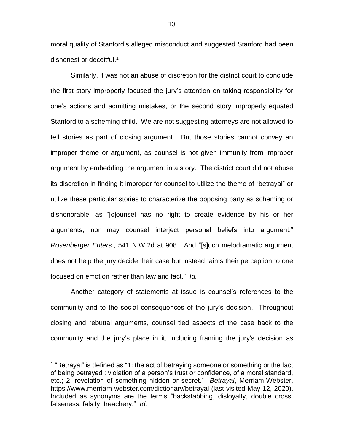moral quality of Stanford's alleged misconduct and suggested Stanford had been dishonest or deceitful. 1

Similarly, it was not an abuse of discretion for the district court to conclude the first story improperly focused the jury's attention on taking responsibility for one's actions and admitting mistakes, or the second story improperly equated Stanford to a scheming child. We are not suggesting attorneys are not allowed to tell stories as part of closing argument. But those stories cannot convey an improper theme or argument, as counsel is not given immunity from improper argument by embedding the argument in a story. The district court did not abuse its discretion in finding it improper for counsel to utilize the theme of "betrayal" or utilize these particular stories to characterize the opposing party as scheming or dishonorable, as "[c]ounsel has no right to create evidence by his or her arguments, nor may counsel interject personal beliefs into argument." *Rosenberger Enters.*, 541 N.W.2d at 908. And "[s]uch melodramatic argument does not help the jury decide their case but instead taints their perception to one focused on emotion rather than law and fact." *Id.*

Another category of statements at issue is counsel's references to the community and to the social consequences of the jury's decision. Throughout closing and rebuttal arguments, counsel tied aspects of the case back to the community and the jury's place in it, including framing the jury's decision as

 $\overline{a}$ 

<sup>&</sup>lt;sup>1</sup> "Betrayal" is defined as "1: the act of betraying someone or something or the fact of being betrayed : violation of a person's trust or confidence, of a moral standard, etc.; 2: revelation of something hidden or secret." *Betrayal*, Merriam-Webster, https://www.merriam-webster.com/dictionary/betrayal (last visited May 12, 2020). Included as synonyms are the terms "backstabbing, disloyalty, double cross, falseness, falsity, treachery." *Id*.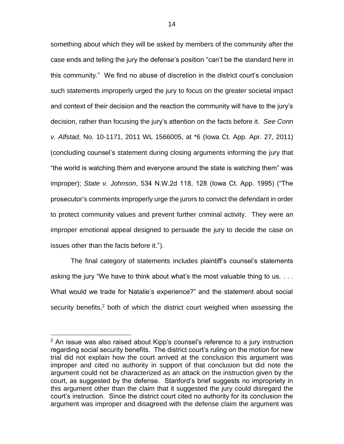something about which they will be asked by members of the community after the case ends and telling the jury the defense's position "can't be the standard here in this community." We find no abuse of discretion in the district court's conclusion such statements improperly urged the jury to focus on the greater societal impact and context of their decision and the reaction the community will have to the jury's decision, rather than focusing the jury's attention on the facts before it. *See Conn v. Alfstad*, No. 10-1171, 2011 WL 1566005, at \*6 (Iowa Ct. App. Apr. 27, 2011) (concluding counsel's statement during closing arguments informing the jury that "the world is watching them and everyone around the state is watching them" was improper); *State v. Johnson*, 534 N.W.2d 118, 128 (Iowa Ct. App. 1995) ("The prosecutor's comments improperly urge the jurors to convict the defendant in order to protect community values and prevent further criminal activity. They were an improper emotional appeal designed to persuade the jury to decide the case on issues other than the facts before it.").

The final category of statements includes plaintiff's counsel's statements asking the jury "We have to think about what's the most valuable thing to us. . . . What would we trade for Natalie's experience?" and the statement about social security benefits,<sup>2</sup> both of which the district court weighed when assessing the

 $\overline{a}$ 

 $2$  An issue was also raised about Kipp's counsel's reference to a jury instruction regarding social security benefits. The district court's ruling on the motion for new trial did not explain how the court arrived at the conclusion this argument was improper and cited no authority in support of that conclusion but did note the argument could not be characterized as an attack on the instruction given by the court, as suggested by the defense. Stanford's brief suggests no impropriety in this argument other than the claim that it suggested the jury could disregard the court's instruction. Since the district court cited no authority for its conclusion the argument was improper and disagreed with the defense claim the argument was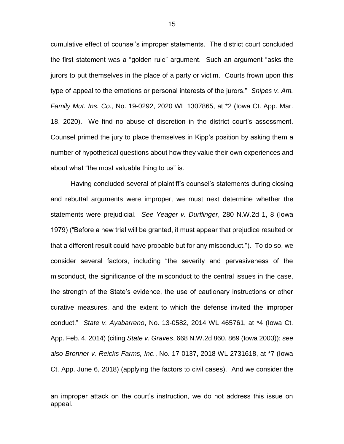cumulative effect of counsel's improper statements. The district court concluded the first statement was a "golden rule" argument. Such an argument "asks the jurors to put themselves in the place of a party or victim. Courts frown upon this type of appeal to the emotions or personal interests of the jurors." *Snipes v. Am. Family Mut. Ins. Co.*, No. 19-0292, 2020 WL 1307865, at \*2 (Iowa Ct. App. Mar. 18, 2020). We find no abuse of discretion in the district court's assessment. Counsel primed the jury to place themselves in Kipp's position by asking them a number of hypothetical questions about how they value their own experiences and about what "the most valuable thing to us" is.

Having concluded several of plaintiff's counsel's statements during closing and rebuttal arguments were improper, we must next determine whether the statements were prejudicial. *See Yeager v. Durflinger*, 280 N.W.2d 1, 8 (Iowa 1979) ("Before a new trial will be granted, it must appear that prejudice resulted or that a different result could have probable but for any misconduct."). To do so, we consider several factors, including "the severity and pervasiveness of the misconduct, the significance of the misconduct to the central issues in the case, the strength of the State's evidence, the use of cautionary instructions or other curative measures, and the extent to which the defense invited the improper conduct." *State v. Ayabarreno*, No. 13-0582, 2014 WL 465761, at \*4 (Iowa Ct. App. Feb. 4, 2014) (citing *State v. Graves*, 668 N.W.2d 860, 869 (Iowa 2003)); *see also Bronner v. Reicks Farms, Inc.*, No. 17-0137, 2018 WL 2731618, at \*7 (Iowa Ct. App. June 6, 2018) (applying the factors to civil cases). And we consider the

 $\overline{a}$ 

an improper attack on the court's instruction, we do not address this issue on appeal.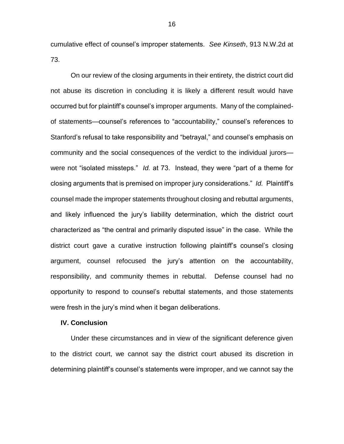cumulative effect of counsel's improper statements. *See Kinseth*, 913 N.W.2d at 73.

On our review of the closing arguments in their entirety, the district court did not abuse its discretion in concluding it is likely a different result would have occurred but for plaintiff's counsel's improper arguments. Many of the complainedof statements—counsel's references to "accountability," counsel's references to Stanford's refusal to take responsibility and "betrayal," and counsel's emphasis on community and the social consequences of the verdict to the individual jurors were not "isolated missteps." *Id.* at 73. Instead, they were "part of a theme for closing arguments that is premised on improper jury considerations." *Id.* Plaintiff's counsel made the improper statements throughout closing and rebuttal arguments, and likely influenced the jury's liability determination, which the district court characterized as "the central and primarily disputed issue" in the case. While the district court gave a curative instruction following plaintiff's counsel's closing argument, counsel refocused the jury's attention on the accountability, responsibility, and community themes in rebuttal. Defense counsel had no opportunity to respond to counsel's rebuttal statements, and those statements were fresh in the jury's mind when it began deliberations.

#### **IV. Conclusion**

Under these circumstances and in view of the significant deference given to the district court, we cannot say the district court abused its discretion in determining plaintiff's counsel's statements were improper, and we cannot say the